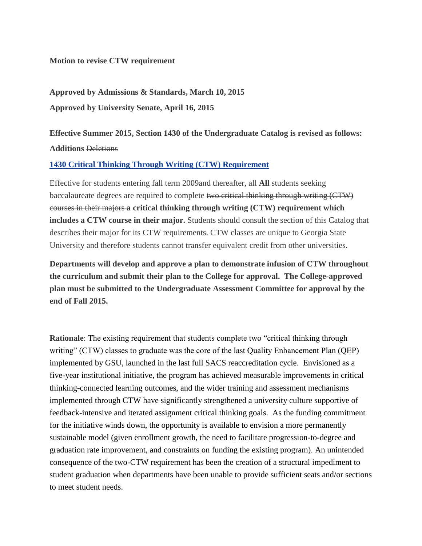## **Motion to revise CTW requirement**

**Approved by Admissions & Standards, March 10, 2015 Approved by University Senate, April 16, 2015**

**Effective Summer 2015, Section 1430 of the Undergraduate Catalog is revised as follows: Additions** Deletions

## **[1430 Critical Thinking Through Writing \(CTW\) Requirement](http://catalog.gsu.edu/undergraduate20142015/university-degree-requirements-and-graduation/#critical-thinking-through-writing-ctw-requirement)**

Effective for students entering fall term 2009and thereafter, all **All** students seeking baccalaureate degrees are required to complete two critical thinking through writing (CTW) courses in their majors **a critical thinking through writing (CTW) requirement which includes a CTW course in their major.** Students should consult the section of this Catalog that describes their major for its CTW requirements. CTW classes are unique to Georgia State University and therefore students cannot transfer equivalent credit from other universities.

**Departments will develop and approve a plan to demonstrate infusion of CTW throughout the curriculum and submit their plan to the College for approval. The College-approved plan must be submitted to the Undergraduate Assessment Committee for approval by the end of Fall 2015.** 

**Rationale**: The existing requirement that students complete two "critical thinking through writing" (CTW) classes to graduate was the core of the last Quality Enhancement Plan (QEP) implemented by GSU, launched in the last full SACS reaccreditation cycle. Envisioned as a five-year institutional initiative, the program has achieved measurable improvements in critical thinking-connected learning outcomes, and the wider training and assessment mechanisms implemented through CTW have significantly strengthened a university culture supportive of feedback-intensive and iterated assignment critical thinking goals. As the funding commitment for the initiative winds down, the opportunity is available to envision a more permanently sustainable model (given enrollment growth, the need to facilitate progression-to-degree and graduation rate improvement, and constraints on funding the existing program). An unintended consequence of the two-CTW requirement has been the creation of a structural impediment to student graduation when departments have been unable to provide sufficient seats and/or sections to meet student needs.